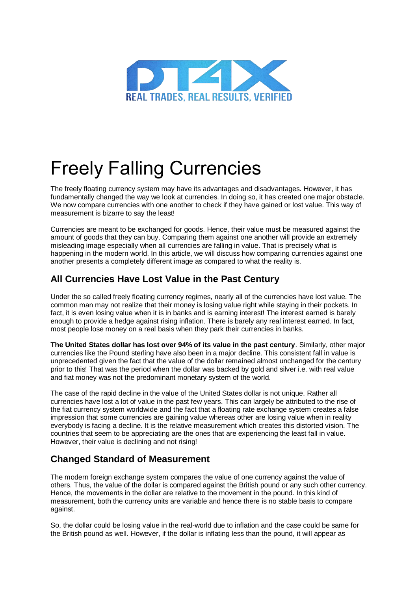

## Freely Falling Currencies

The freely floating currency system may have its advantages and disadvantages. However, it has fundamentally changed the way we look at currencies. In doing so, it has created one major obstacle. We now compare currencies with one another to check if they have gained or lost value. This way of measurement is bizarre to say the least!

Currencies are meant to be exchanged for goods. Hence, their value must be measured against the amount of goods that they can buy. Comparing them against one another will provide an extremely misleading image especially when all currencies are falling in value. That is precisely what is happening in the modern world. In this article, we will discuss how comparing currencies against one another presents a completely different image as compared to what the reality is.

## **All Currencies Have Lost Value in the Past Century**

Under the so called freely floating currency regimes, nearly all of the currencies have lost value. The common man may not realize that their money is losing value right while staying in their pockets. In fact, it is even losing value when it is in banks and is earning interest! The interest earned is barely enough to provide a hedge against rising inflation. There is barely any real interest earned. In fact, most people lose money on a real basis when they park their currencies in banks.

**The United States dollar has lost over 94% of its value in the past century**. Similarly, other major currencies like the Pound sterling have also been in a major decline. This consistent fall in value is unprecedented given the fact that the value of the dollar remained almost unchanged for the century prior to this! That was the period when the dollar was backed by gold and silver i.e. with real value and fiat money was not the predominant monetary system of the world.

The case of the rapid decline in the value of the United States dollar is not unique. Rather all currencies have lost a lot of value in the past few years. This can largely be attributed to the rise of the fiat currency system worldwide and the fact that a floating rate exchange system creates a false impression that some currencies are gaining value whereas other are losing value when in reality everybody is facing a decline. It is the relative measurement which creates this distorted vision. The countries that seem to be appreciating are the ones that are experiencing the least fall in value. However, their value is declining and not rising!

## **Changed Standard of Measurement**

The modern foreign exchange system compares the value of one currency against the value of others. Thus, the value of the dollar is compared against the British pound or any such other currency. Hence, the movements in the dollar are relative to the movement in the pound. In this kind of measurement, both the currency units are variable and hence there is no stable basis to compare against.

So, the dollar could be losing value in the real-world due to inflation and the case could be same for the British pound as well. However, if the dollar is inflating less than the pound, it will appear as